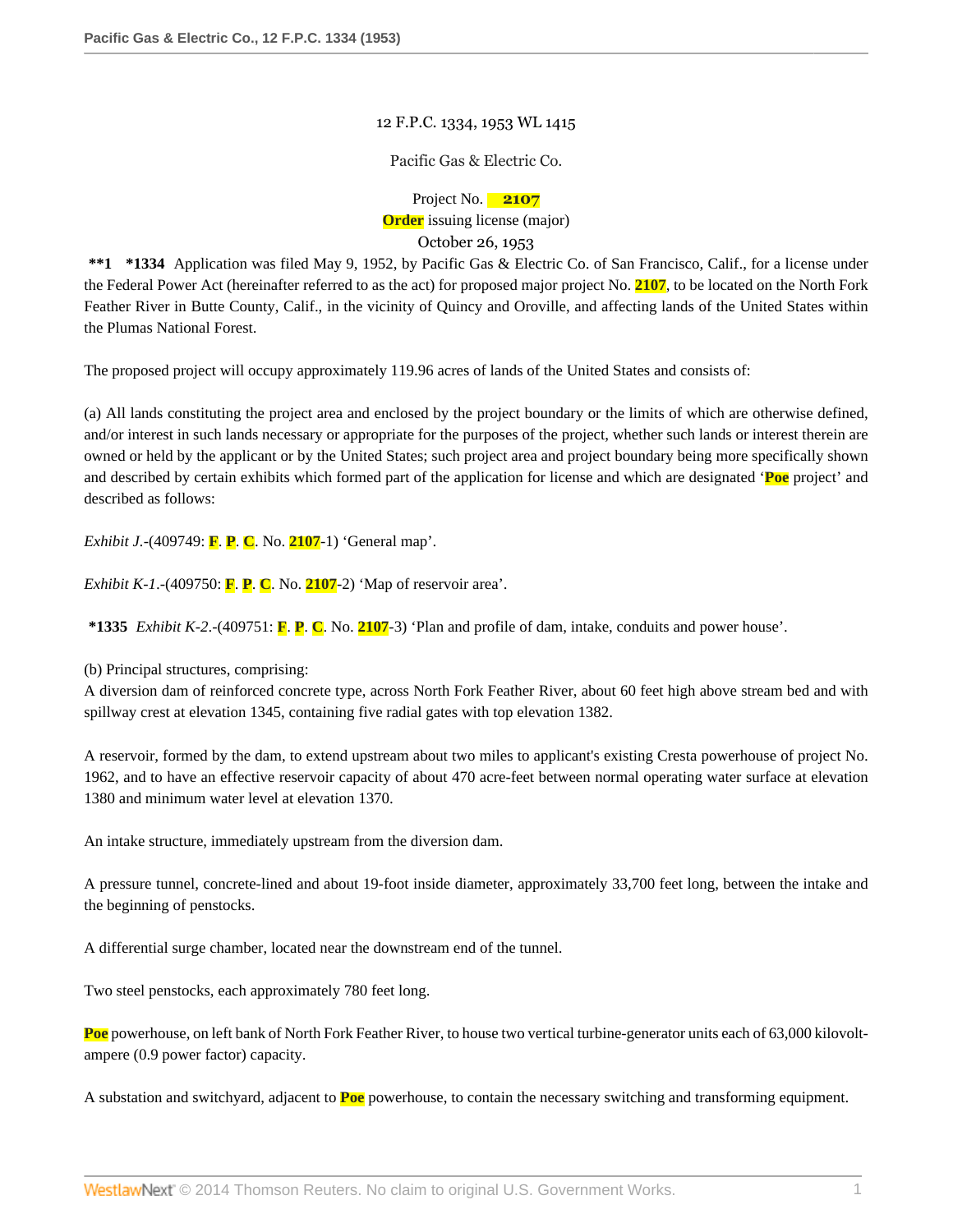## 12 F.P.C. 1334, 1953 WL 1415

Pacific Gas & Electric Co.

Project No. **2107 Order** issuing license (major) October 26, 1953

**\*\*1 \*1334** Application was filed May 9, 1952, by Pacific Gas & Electric Co. of San Francisco, Calif., for a license under the Federal Power Act (hereinafter referred to as the act) for proposed major project No. **2107**, to be located on the North Fork Feather River in Butte County, Calif., in the vicinity of Quincy and Oroville, and affecting lands of the United States within the Plumas National Forest.

The proposed project will occupy approximately 119.96 acres of lands of the United States and consists of:

(a) All lands constituting the project area and enclosed by the project boundary or the limits of which are otherwise defined, and/or interest in such lands necessary or appropriate for the purposes of the project, whether such lands or interest therein are owned or held by the applicant or by the United States; such project area and project boundary being more specifically shown and described by certain exhibits which formed part of the application for license and which are designated '**Poe** project' and described as follows:

*Exhibit J.*-(409749: **F**. **P**. **C**. No. **2107**-1) 'General map'.

*Exhibit K-1*.-(409750: **F**. **P**. **C**. No. **2107**-2) 'Map of reservoir area'.

**\*1335** *Exhibit K-2*.-(409751: **F**. **P**. **C**. No. **2107**-3) 'Plan and profile of dam, intake, conduits and power house'.

(b) Principal structures, comprising:

A diversion dam of reinforced concrete type, across North Fork Feather River, about 60 feet high above stream bed and with spillway crest at elevation 1345, containing five radial gates with top elevation 1382.

A reservoir, formed by the dam, to extend upstream about two miles to applicant's existing Cresta powerhouse of project No. 1962, and to have an effective reservoir capacity of about 470 acre-feet between normal operating water surface at elevation 1380 and minimum water level at elevation 1370.

An intake structure, immediately upstream from the diversion dam.

A pressure tunnel, concrete-lined and about 19-foot inside diameter, approximately 33,700 feet long, between the intake and the beginning of penstocks.

A differential surge chamber, located near the downstream end of the tunnel.

Two steel penstocks, each approximately 780 feet long.

**Poe** powerhouse, on left bank of North Fork Feather River, to house two vertical turbine-generator units each of 63,000 kilovoltampere (0.9 power factor) capacity.

A substation and switchyard, adjacent to **Poe** powerhouse, to contain the necessary switching and transforming equipment.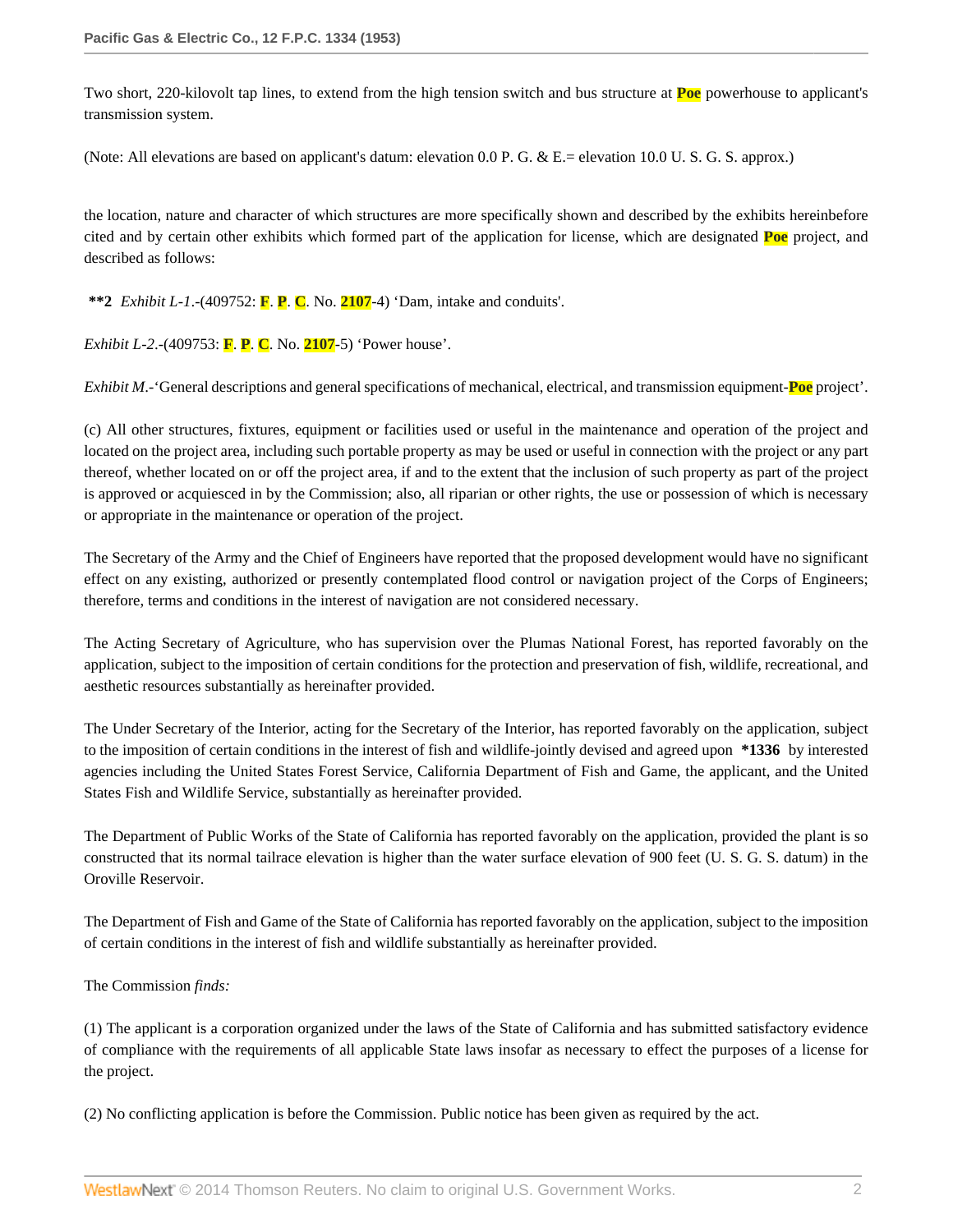Two short, 220-kilovolt tap lines, to extend from the high tension switch and bus structure at **Poe** powerhouse to applicant's transmission system.

(Note: All elevations are based on applicant's datum: elevation 0.0 P. G. & E.= elevation 10.0 U. S. G. S. approx.)

the location, nature and character of which structures are more specifically shown and described by the exhibits hereinbefore cited and by certain other exhibits which formed part of the application for license, which are designated **Poe** project, and described as follows:

**\*\*2** *Exhibit L-1*.-(409752: **F**. **P**. **C**. No. **2107**-4) 'Dam, intake and conduits'.

*Exhibit L-2*.-(409753: **F**. **P**. **C**. No. **2107**-5) 'Power house'.

*Exhibit M*.-'General descriptions and general specifications of mechanical, electrical, and transmission equipment-**Poe** project'.

(c) All other structures, fixtures, equipment or facilities used or useful in the maintenance and operation of the project and located on the project area, including such portable property as may be used or useful in connection with the project or any part thereof, whether located on or off the project area, if and to the extent that the inclusion of such property as part of the project is approved or acquiesced in by the Commission; also, all riparian or other rights, the use or possession of which is necessary or appropriate in the maintenance or operation of the project.

The Secretary of the Army and the Chief of Engineers have reported that the proposed development would have no significant effect on any existing, authorized or presently contemplated flood control or navigation project of the Corps of Engineers; therefore, terms and conditions in the interest of navigation are not considered necessary.

The Acting Secretary of Agriculture, who has supervision over the Plumas National Forest, has reported favorably on the application, subject to the imposition of certain conditions for the protection and preservation of fish, wildlife, recreational, and aesthetic resources substantially as hereinafter provided.

The Under Secretary of the Interior, acting for the Secretary of the Interior, has reported favorably on the application, subject to the imposition of certain conditions in the interest of fish and wildlife-jointly devised and agreed upon **\*1336** by interested agencies including the United States Forest Service, California Department of Fish and Game, the applicant, and the United States Fish and Wildlife Service, substantially as hereinafter provided.

The Department of Public Works of the State of California has reported favorably on the application, provided the plant is so constructed that its normal tailrace elevation is higher than the water surface elevation of 900 feet (U. S. G. S. datum) in the Oroville Reservoir.

The Department of Fish and Game of the State of California has reported favorably on the application, subject to the imposition of certain conditions in the interest of fish and wildlife substantially as hereinafter provided.

The Commission *finds:*

(1) The applicant is a corporation organized under the laws of the State of California and has submitted satisfactory evidence of compliance with the requirements of all applicable State laws insofar as necessary to effect the purposes of a license for the project.

(2) No conflicting application is before the Commission. Public notice has been given as required by the act.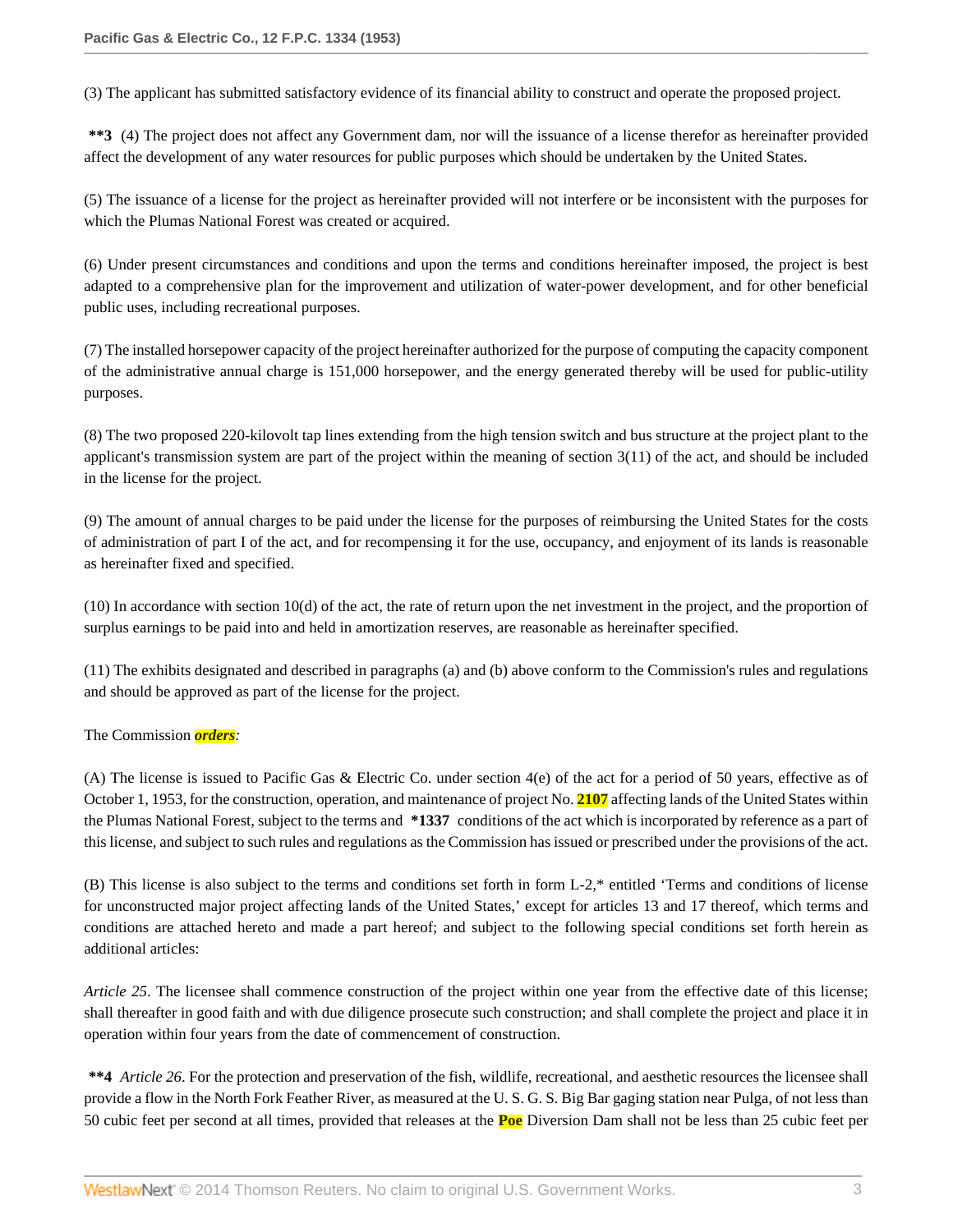(3) The applicant has submitted satisfactory evidence of its financial ability to construct and operate the proposed project.

**\*\*3** (4) The project does not affect any Government dam, nor will the issuance of a license therefor as hereinafter provided affect the development of any water resources for public purposes which should be undertaken by the United States.

(5) The issuance of a license for the project as hereinafter provided will not interfere or be inconsistent with the purposes for which the Plumas National Forest was created or acquired.

(6) Under present circumstances and conditions and upon the terms and conditions hereinafter imposed, the project is best adapted to a comprehensive plan for the improvement and utilization of water-power development, and for other beneficial public uses, including recreational purposes.

(7) The installed horsepower capacity of the project hereinafter authorized for the purpose of computing the capacity component of the administrative annual charge is 151,000 horsepower, and the energy generated thereby will be used for public-utility purposes.

(8) The two proposed 220-kilovolt tap lines extending from the high tension switch and bus structure at the project plant to the applicant's transmission system are part of the project within the meaning of section 3(11) of the act, and should be included in the license for the project.

(9) The amount of annual charges to be paid under the license for the purposes of reimbursing the United States for the costs of administration of part I of the act, and for recompensing it for the use, occupancy, and enjoyment of its lands is reasonable as hereinafter fixed and specified.

(10) In accordance with section 10(d) of the act, the rate of return upon the net investment in the project, and the proportion of surplus earnings to be paid into and held in amortization reserves, are reasonable as hereinafter specified.

(11) The exhibits designated and described in paragraphs (a) and (b) above conform to the Commission's rules and regulations and should be approved as part of the license for the project.

## The Commission *orders:*

(A) The license is issued to Pacific Gas & Electric Co. under section 4(e) of the act for a period of 50 years, effective as of October 1, 1953, for the construction, operation, and maintenance of project No. **2107** affecting lands of the United States within the Plumas National Forest, subject to the terms and **\*1337** conditions of the act which is incorporated by reference as a part of this license, and subject to such rules and regulations as the Commission has issued or prescribed under the provisions of the act.

(B) This license is also subject to the terms and conditions set forth in form L-2,\* entitled 'Terms and conditions of license for unconstructed major project affecting lands of the United States,' except for articles 13 and 17 thereof, which terms and conditions are attached hereto and made a part hereof; and subject to the following special conditions set forth herein as additional articles:

*Article 25*. The licensee shall commence construction of the project within one year from the effective date of this license; shall thereafter in good faith and with due diligence prosecute such construction; and shall complete the project and place it in operation within four years from the date of commencement of construction.

**\*\*4** *Article 26*. For the protection and preservation of the fish, wildlife, recreational, and aesthetic resources the licensee shall provide a flow in the North Fork Feather River, as measured at the U. S. G. S. Big Bar gaging station near Pulga, of not less than 50 cubic feet per second at all times, provided that releases at the **Poe** Diversion Dam shall not be less than 25 cubic feet per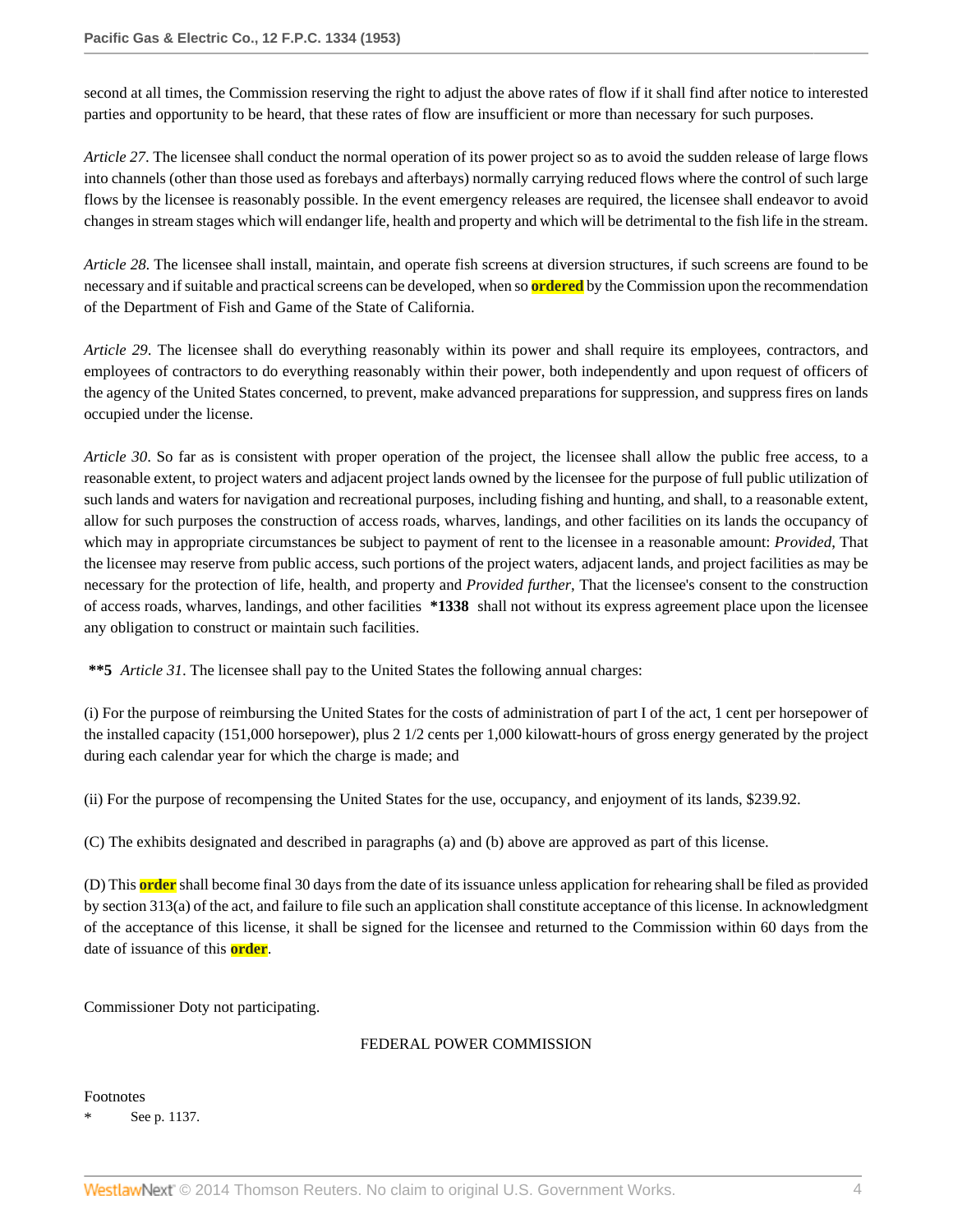second at all times, the Commission reserving the right to adjust the above rates of flow if it shall find after notice to interested parties and opportunity to be heard, that these rates of flow are insufficient or more than necessary for such purposes.

*Article 27*. The licensee shall conduct the normal operation of its power project so as to avoid the sudden release of large flows into channels (other than those used as forebays and afterbays) normally carrying reduced flows where the control of such large flows by the licensee is reasonably possible. In the event emergency releases are required, the licensee shall endeavor to avoid changes in stream stages which will endanger life, health and property and which will be detrimental to the fish life in the stream.

*Article 28*. The licensee shall install, maintain, and operate fish screens at diversion structures, if such screens are found to be necessary and if suitable and practical screens can be developed, when so **ordered** by the Commission upon the recommendation of the Department of Fish and Game of the State of California.

*Article 29*. The licensee shall do everything reasonably within its power and shall require its employees, contractors, and employees of contractors to do everything reasonably within their power, both independently and upon request of officers of the agency of the United States concerned, to prevent, make advanced preparations for suppression, and suppress fires on lands occupied under the license.

*Article 30*. So far as is consistent with proper operation of the project, the licensee shall allow the public free access, to a reasonable extent, to project waters and adjacent project lands owned by the licensee for the purpose of full public utilization of such lands and waters for navigation and recreational purposes, including fishing and hunting, and shall, to a reasonable extent, allow for such purposes the construction of access roads, wharves, landings, and other facilities on its lands the occupancy of which may in appropriate circumstances be subject to payment of rent to the licensee in a reasonable amount: *Provided*, That the licensee may reserve from public access, such portions of the project waters, adjacent lands, and project facilities as may be necessary for the protection of life, health, and property and *Provided further*, That the licensee's consent to the construction of access roads, wharves, landings, and other facilities **\*1338** shall not without its express agreement place upon the licensee any obligation to construct or maintain such facilities.

**\*\*5** *Article 31*. The licensee shall pay to the United States the following annual charges:

(i) For the purpose of reimbursing the United States for the costs of administration of part I of the act, 1 cent per horsepower of the installed capacity (151,000 horsepower), plus 2 1/2 cents per 1,000 kilowatt-hours of gross energy generated by the project during each calendar year for which the charge is made; and

(ii) For the purpose of recompensing the United States for the use, occupancy, and enjoyment of its lands, \$239.92.

(C) The exhibits designated and described in paragraphs (a) and (b) above are approved as part of this license.

(D) This **order** shall become final 30 days from the date of its issuance unless application for rehearing shall be filed as provided by section 313(a) of the act, and failure to file such an application shall constitute acceptance of this license. In acknowledgment of the acceptance of this license, it shall be signed for the licensee and returned to the Commission within 60 days from the date of issuance of this **order**.

Commissioner Doty not participating.

## FEDERAL POWER COMMISSION

Footnotes

See p. 1137.